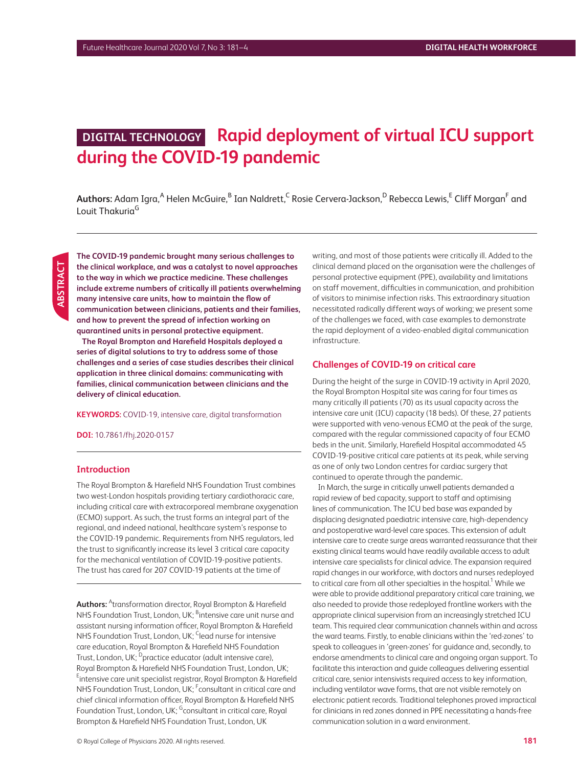# **DIGITAL TECHNOLOGY Rapid deployment of virtual ICU support during the COVID-19 pandemic**

 $\bm{\mathsf{Authors:}}$  Adam Igra, $^\mathsf{A}$  Helen McGuire, $^\mathsf{B}$  Ian Naldrett, $^\mathsf{C}$  Rosie Cervera-Jackson, $^\mathsf{D}$  Rebecca Lewis, $^\mathsf{E}$  Cliff Morgan $^\mathsf{F}$  and Louit Thakuria<sup>G</sup>

**The COVID-19 pandemic brought many serious challenges to the clinical workplace, and was a catalyst to novel approaches to the way in which we practice medicine. These challenges include extreme numbers of critically ill patients overwhelming many intensive care units, how to maintain the flow of communication between clinicians, patients and their families, and how to prevent the spread of infection working on quarantined units in personal protective equipment.**

**The Royal Brompton and Harefield Hospitals deployed a series of digital solutions to try to address some of those challenges and a series of case studies describes their clinical application in three clinical domains: communicating with families, clinical communication between clinicians and the delivery of clinical education.**

#### **KEYWORDS:** COVID-19, intensive care, digital transformation

**DOI:** 10.7861/fhj.2020-0157

#### **Introduction**

The Royal Brompton & Harefield NHS Foundation Trust combines two west-London hospitals providing tertiary cardiothoracic care, including critical care with extracorporeal membrane oxygenation (ECMO) support. As such, the trust forms an integral part of the regional, and indeed national, healthcare system's response to the COVID-19 pandemic. Requirements from NHS regulators, led the trust to significantly increase its level 3 critical care capacity for the mechanical ventilation of COVID-19-positive patients. The trust has cared for 207 COVID-19 patients at the time of

**Authors:** <sup>A</sup>transformation director, Royal Brompton & Harefield NHS Foundation Trust, London, UK; <sup>B</sup>intensive care unit nurse and assistant nursing information officer, Royal Brompton & Harefield NHS Foundation Trust, London, UK; <sup>C</sup>lead nurse for intensive care education, Royal Brompton & Harefield NHS Foundation Trust, London, UK; <sup>D</sup>practice educator (adult intensive care), Royal Brompton & Harefield NHS Foundation Trust, London, UK; <sup>E</sup>intensive care unit specialist registrar, Royal Brompton & Harefield NHS Foundation Trust, London, UK; <sup>F</sup>consultant in critical care and chief clinical information officer, Royal Brompton & Harefield NHS Foundation Trust, London, UK; <sup>G</sup>consultant in critical care, Royal Brompton & Harefield NHS Foundation Trust, London, UK

writing, and most of those patients were critically ill. Added to the clinical demand placed on the organisation were the challenges of personal protective equipment (PPE), availability and limitations on staff movement, difficulties in communication, and prohibition of visitors to minimise infection risks. This extraordinary situation necessitated radically different ways of working; we present some of the challenges we faced, with case examples to demonstrate the rapid deployment of a video-enabled digital communication infrastructure.

#### **Challenges of COVID-19 on critical care**

During the height of the surge in COVID-19 activity in April 2020, the Royal Brompton Hospital site was caring for four times as many critically ill patients (70) as its usual capacity across the intensive care unit (ICU) capacity (18 beds). Of these, 27 patients were supported with veno-venous ECMO at the peak of the surge, compared with the regular commissioned capacity of four ECMO beds in the unit. Similarly, Harefield Hospital accommodated 45 COVID-19-positive critical care patients at its peak, while serving as one of only two London centres for cardiac surgery that continued to operate through the pandemic.

In March, the surge in critically unwell patients demanded a rapid review of bed capacity, support to staff and optimising lines of communication. The ICU bed base was expanded by displacing designated paediatric intensive care, high-dependency and postoperative ward-level care spaces. This extension of adult intensive care to create surge areas warranted reassurance that their existing clinical teams would have readily available access to adult intensive care specialists for clinical advice. The expansion required rapid changes in our workforce, with doctors and nurses redeployed to critical care from all other specialties in the hospital. $^{\rm 1}$  While we were able to provide additional preparatory critical care training, we also needed to provide those redeployed frontline workers with the appropriate clinical supervision from an increasingly stretched ICU team. This required clear communication channels within and across the ward teams. Firstly, to enable clinicians within the 'red-zones' to speak to colleagues in 'green-zones' for guidance and, secondly, to endorse amendments to clinical care and ongoing organ support. To facilitate this interaction and guide colleagues delivering essential critical care, senior intensivists required access to key information, including ventilator wave forms, that are not visible remotely on electronic patient records. Traditional telephones proved impractical for clinicians in red zones donned in PPE necessitating a hands-free communication solution in a ward environment.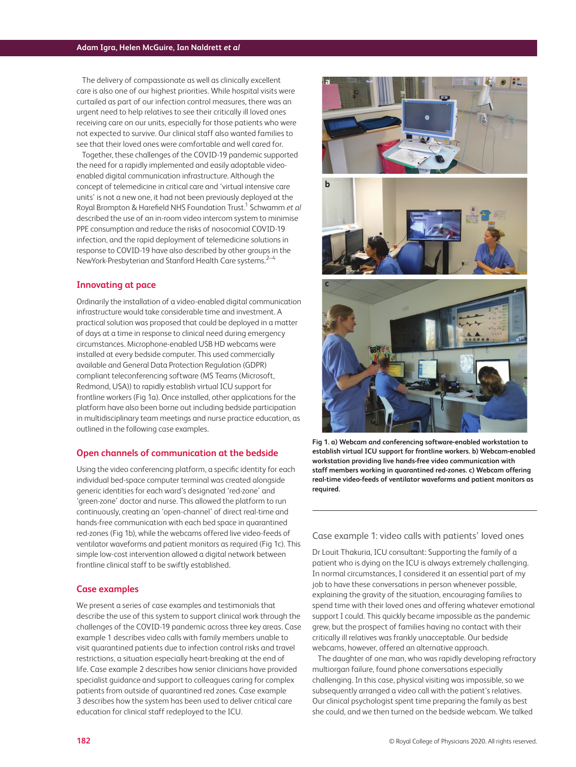The delivery of compassionate as well as clinically excellent care is also one of our highest priorities. While hospital visits were curtailed as part of our infection control measures, there was an urgent need to help relatives to see their critically ill loved ones receiving care on our units, especially for those patients who were not expected to survive. Our clinical staff also wanted families to see that their loved ones were comfortable and well cared for.

Together, these challenges of the COVID-19 pandemic supported the need for a rapidly implemented and easily adoptable videoenabled digital communication infrastructure. Although the concept of telemedicine in critical care and 'virtual intensive care units' is not a new one, it had not been previously deployed at the Royal Brompton & Harefield NHS Foundation Trust.1 Schwamm *et al* described the use of an in-room video intercom system to minimise PPE consumption and reduce the risks of nosocomial COVID-19 infection, and the rapid deployment of telemedicine solutions in response to COVID-19 have also described by other groups in the NewYork-Presbyterian and Stanford Health Care systems.<sup>2-4</sup>

#### **Innovating at pace**

Ordinarily the installation of a video-enabled digital communication infrastructure would take considerable time and investment. A practical solution was proposed that could be deployed in a matter of days at a time in response to clinical need during emergency circumstances. Microphone-enabled USB HD webcams were installed at every bedside computer. This used commercially available and General Data Protection Regulation (GDPR) compliant teleconferencing software (MS Teams (Microsoft, Redmond, USA)) to rapidly establish virtual ICU support for frontline workers (Fig 1a). Once installed, other applications for the platform have also been borne out including bedside participation in multidisciplinary team meetings and nurse practice education, as outlined in the following case examples.

## **Open channels of communication at the bedside**

Using the video conferencing platform, a specific identity for each individual bed-space computer terminal was created alongside generic identities for each ward's designated 'red-zone' and 'green-zone' doctor and nurse. This allowed the platform to run continuously, creating an 'open-channel' of direct real-time and hands-free communication with each bed space in quarantined red-zones (Fig 1b), while the webcams offered live video-feeds of ventilator waveforms and patient monitors as required (Fig 1c). This simple low-cost intervention allowed a digital network between frontline clinical staff to be swiftly established.

#### **Case examples**

We present a series of case examples and testimonials that describe the use of this system to support clinical work through the challenges of the COVID-19 pandemic across three key areas. Case example 1 describes video calls with family members unable to visit quarantined patients due to infection control risks and travel restrictions, a situation especially heart-breaking at the end of life. Case example 2 describes how senior clinicians have provided specialist guidance and support to colleagues caring for complex patients from outside of quarantined red zones. Case example 3 describes how the system has been used to deliver critical care education for clinical staff redeployed to the ICU.







**Fig 1. a) Webcam and conferencing software-enabled workstation to establish virtual ICU support for frontline workers. b) Webcam-enabled workstation providing live hands-free video communication with staff members working in quarantined red-zones. c) Webcam offering real-time video-feeds of ventilator waveforms and patient monitors as required.**

### Case example 1: video calls with patients' loved ones

Dr Louit Thakuria, ICU consultant: Supporting the family of a patient who is dying on the ICU is always extremely challenging. In normal circumstances, I considered it an essential part of my job to have these conversations in person whenever possible, explaining the gravity of the situation, encouraging families to spend time with their loved ones and offering whatever emotional support I could. This quickly became impossible as the pandemic grew, but the prospect of families having no contact with their critically ill relatives was frankly unacceptable. Our bedside webcams, however, offered an alternative approach.

The daughter of one man, who was rapidly developing refractory multiorgan failure, found phone conversations especially challenging. In this case, physical visiting was impossible, so we subsequently arranged a video call with the patient's relatives. Our clinical psychologist spent time preparing the family as best she could, and we then turned on the bedside webcam. We talked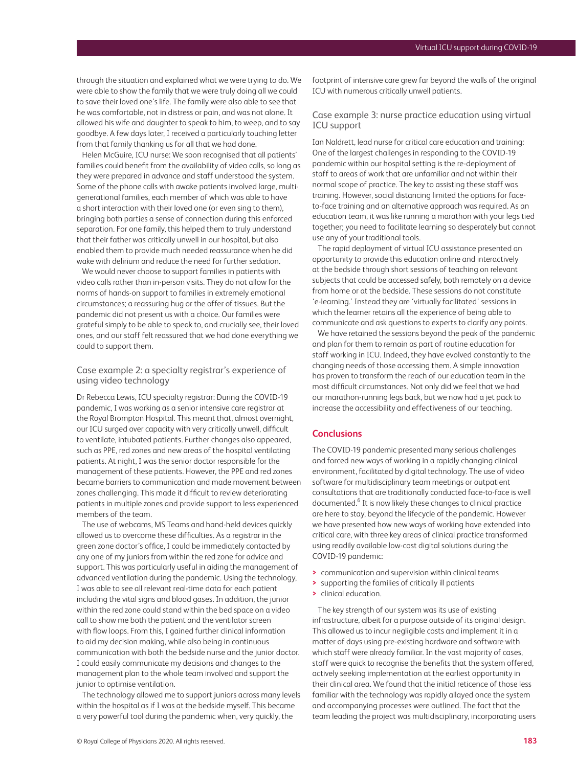through the situation and explained what we were trying to do. We were able to show the family that we were truly doing all we could to save their loved one's life. The family were also able to see that he was comfortable, not in distress or pain, and was not alone. It allowed his wife and daughter to speak to him, to weep, and to say goodbye. A few days later, I received a particularly touching letter from that family thanking us for all that we had done.

Helen McGuire, ICU nurse: We soon recognised that all patients' families could benefit from the availability of video calls, so long as they were prepared in advance and staff understood the system. Some of the phone calls with awake patients involved large, multigenerational families, each member of which was able to have a short interaction with their loved one (or even sing to them), bringing both parties a sense of connection during this enforced separation. For one family, this helped them to truly understand that their father was critically unwell in our hospital, but also enabled them to provide much needed reassurance when he did wake with delirium and reduce the need for further sedation.

We would never choose to support families in patients with video calls rather than in-person visits. They do not allow for the norms of hands-on support to families in extremely emotional circumstances; a reassuring hug or the offer of tissues. But the pandemic did not present us with a choice. Our families were grateful simply to be able to speak to, and crucially see, their loved ones, and our staff felt reassured that we had done everything we could to support them.

## Case example 2: a specialty registrar's experience of using video technology

Dr Rebecca Lewis, ICU specialty registrar: During the COVID-19 pandemic, I was working as a senior intensive care registrar at the Royal Brompton Hospital. This meant that, almost overnight, our ICU surged over capacity with very critically unwell, difficult to ventilate, intubated patients. Further changes also appeared, such as PPE, red zones and new areas of the hospital ventilating patients. At night, I was the senior doctor responsible for the management of these patients. However, the PPE and red zones became barriers to communication and made movement between zones challenging. This made it difficult to review deteriorating patients in multiple zones and provide support to less experienced members of the team.

The use of webcams, MS Teams and hand-held devices quickly allowed us to overcome these difficulties. As a registrar in the green zone doctor's office, I could be immediately contacted by any one of my juniors from within the red zone for advice and support. This was particularly useful in aiding the management of advanced ventilation during the pandemic. Using the technology, I was able to see all relevant real-time data for each patient including the vital signs and blood gases. In addition, the junior within the red zone could stand within the bed space on a video call to show me both the patient and the ventilator screen with flow loops. From this, I gained further clinical information to aid my decision making, while also being in continuous communication with both the bedside nurse and the junior doctor. I could easily communicate my decisions and changes to the management plan to the whole team involved and support the junior to optimise ventilation.

The technology allowed me to support juniors across many levels within the hospital as if I was at the bedside myself. This became a very powerful tool during the pandemic when, very quickly, the

footprint of intensive care grew far beyond the walls of the original ICU with numerous critically unwell patients.

# Case example 3: nurse practice education using virtual ICU support

Ian Naldrett, lead nurse for critical care education and training: One of the largest challenges in responding to the COVID-19 pandemic within our hospital setting is the re-deployment of staff to areas of work that are unfamiliar and not within their normal scope of practice. The key to assisting these staff was training. However, social distancing limited the options for faceto-face training and an alternative approach was required. As an education team, it was like running a marathon with your legs tied together; you need to facilitate learning so desperately but cannot use any of your traditional tools.

The rapid deployment of virtual ICU assistance presented an opportunity to provide this education online and interactively at the bedside through short sessions of teaching on relevant subjects that could be accessed safely, both remotely on a device from home or at the bedside. These sessions do not constitute 'e-learning.' Instead they are 'virtually facilitated' sessions in which the learner retains all the experience of being able to communicate and ask questions to experts to clarify any points.

We have retained the sessions beyond the peak of the pandemic and plan for them to remain as part of routine education for staff working in ICU. Indeed, they have evolved constantly to the changing needs of those accessing them. A simple innovation has proven to transform the reach of our education team in the most difficult circumstances. Not only did we feel that we had our marathon-running legs back, but we now had a jet pack to increase the accessibility and effectiveness of our teaching.

#### **Conclusions**

The COVID-19 pandemic presented many serious challenges and forced new ways of working in a rapidly changing clinical environment, facilitated by digital technology. The use of video software for multidisciplinary team meetings or outpatient consultations that are traditionally conducted face-to-face is well documented.<sup>6</sup> It is now likely these changes to clinical practice are here to stay, beyond the lifecycle of the pandemic. However we have presented how new ways of working have extended into critical care, with three key areas of clinical practice transformed using readily available low-cost digital solutions during the COVID-19 pandemic:

- **>** communication and supervision within clinical teams
- **>** supporting the families of critically ill patients
- **>** clinical education.

The key strength of our system was its use of existing infrastructure, albeit for a purpose outside of its original design. This allowed us to incur negligible costs and implement it in a matter of days using pre-existing hardware and software with which staff were already familiar. In the vast majority of cases, staff were quick to recognise the benefits that the system offered, actively seeking implementation at the earliest opportunity in their clinical area. We found that the initial reticence of those less familiar with the technology was rapidly allayed once the system and accompanying processes were outlined. The fact that the team leading the project was multidisciplinary, incorporating users